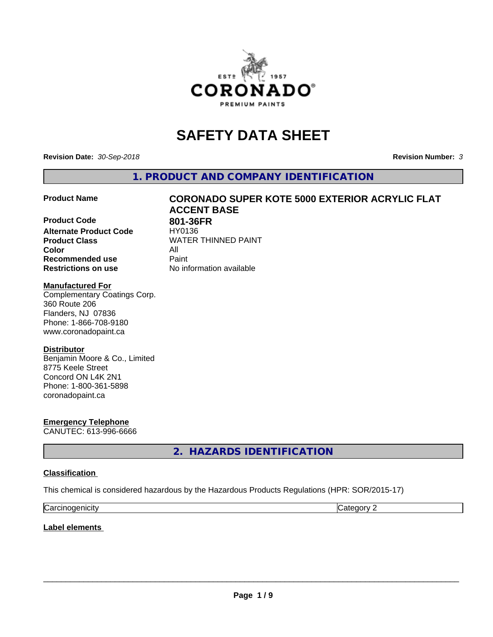

# **SAFETY DATA SHEET**

**Revision Date:** *30-Sep-2018* **Revision Number:** *3*

**1. PRODUCT AND COMPANY IDENTIFICATION**

**Product Code 801-36FR**<br> **Alternate Product Code HY0136 Alternate Product Code Product Class WATER THINNED PAINT Color** All **Recommended use** Paint **Restrictions on use** No information available

# **Product Name CORONADO SUPER KOTE 5000 EXTERIOR ACRYLIC FLAT ACCENT BASE**

### **Manufactured For**

Complementary Coatings Corp. 360 Route 206 Flanders, NJ 07836 Phone: 1-866-708-9180 www.coronadopaint.ca

### **Distributor**

Benjamin Moore & Co., Limited 8775 Keele Street Concord ON L4K 2N1 Phone: 1-800-361-5898 coronadopaint.ca

**Emergency Telephone** CANUTEC: 613-996-6666

**2. HAZARDS IDENTIFICATION**

### **Classification**

This chemical is considered hazardous by the Hazardous Products Regulations (HPR: SOR/2015-17)

| $\sim$   | $\sim$ |
|----------|--------|
| enicity: | .      |
| Ndi      | . .    |

### **Label elements**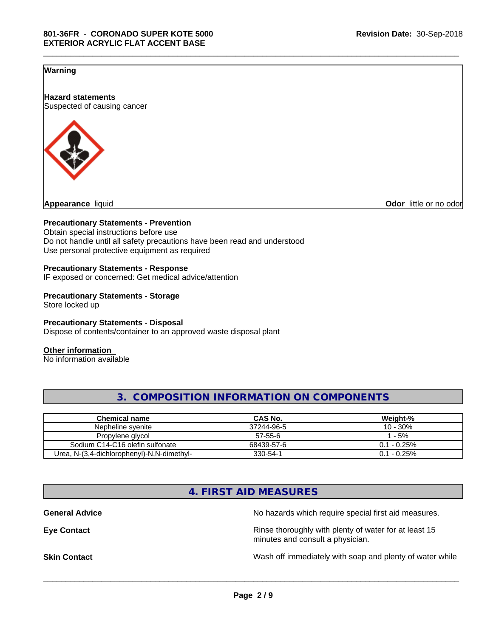### **Warning**

**Hazard statements** Suspected of causing cancer



**Odor** little or no odor

### **Precautionary Statements - Prevention**

Obtain special instructions before use Do not handle until all safety precautions have been read and understood Use personal protective equipment as required

### **Precautionary Statements - Response**

IF exposed or concerned: Get medical advice/attention

### **Precautionary Statements - Storage** Store locked up

### **Precautionary Statements - Disposal**

Dispose of contents/container to an approved waste disposal plant

### **Other information**

No information available

| OMPOSITION INFORMATION ON COMPONENTS |                |                |  |
|--------------------------------------|----------------|----------------|--|
|                                      |                |                |  |
| <b>Chemical name</b>                 | <b>CAS No.</b> | Weight-%       |  |
| Nepheline svenite                    | 37244-96-5     | 10 - 30%       |  |
| Dropulono alugol                     | E7E6C          | E <sub>0</sub> |  |

\_\_\_\_\_\_\_\_\_\_\_\_\_\_\_\_\_\_\_\_\_\_\_\_\_\_\_\_\_\_\_\_\_\_\_\_\_\_\_\_\_\_\_\_\_\_\_\_\_\_\_\_\_\_\_\_\_\_\_\_\_\_\_\_\_\_\_\_\_\_\_\_\_\_\_\_\_\_\_\_\_\_\_\_\_\_\_\_\_\_\_\_\_

| Nepheline svenite                             | 37244-96-5    | 30%<br>$\sqrt{ }$<br>. U - |
|-----------------------------------------------|---------------|----------------------------|
| Propylene glycol                              | $57 - 55 - 6$ | 5%                         |
| Sodium C14-C16 olefin sulfonate               | 68439-57-6    | $-0.25%$<br>ົາ 1           |
| N-(3.4-dichlorophenyl)-N.N-dimethyl-<br>Urea. | 330-54-1      | $-0.25%$<br>ົາ 1           |

### **4. FIRST AID MEASURES**

General Advice **General Advice No hazards** which require special first aid measures. **Eye Contact Exercise 2.1 All 2.5 All 2.5 All 2.6 All 2.6 All 2.6 All 2.6 All 2.6 All 2.6 All 2.6 All 2.6 All 2.6 All 2.6 All 2.6 All 2.6 All 2.6 All 2.6 All 2.6 All 2.6 All 2.6 All 2.6 All 2.6 All 2.6 All 2.6 All 2.6 Al** minutes and consult a physician. **Skin Contact** Same of the Contact Wash off immediately with soap and plenty of water while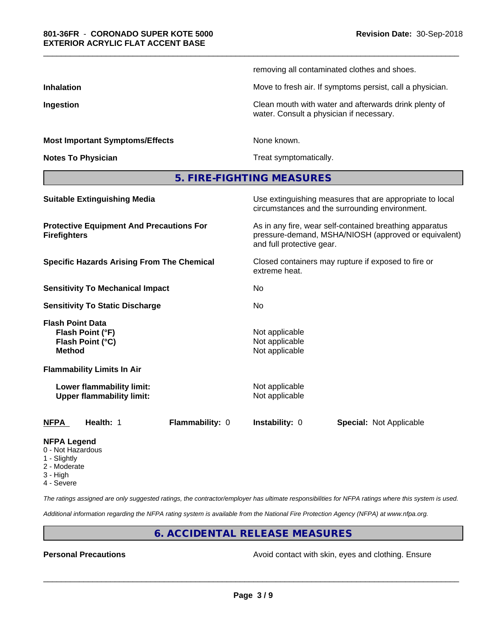|                                        | removing all contaminated clothes and shoes.                                                      |
|----------------------------------------|---------------------------------------------------------------------------------------------------|
| <b>Inhalation</b>                      | Move to fresh air. If symptoms persist, call a physician.                                         |
| Ingestion                              | Clean mouth with water and afterwards drink plenty of<br>water. Consult a physician if necessary. |
| <b>Most Important Symptoms/Effects</b> | None known.                                                                                       |
| <b>Notes To Physician</b>              | Treat symptomatically.                                                                            |
|                                        | 5. FIRE-FIGHTING MEASURES                                                                         |

\_\_\_\_\_\_\_\_\_\_\_\_\_\_\_\_\_\_\_\_\_\_\_\_\_\_\_\_\_\_\_\_\_\_\_\_\_\_\_\_\_\_\_\_\_\_\_\_\_\_\_\_\_\_\_\_\_\_\_\_\_\_\_\_\_\_\_\_\_\_\_\_\_\_\_\_\_\_\_\_\_\_\_\_\_\_\_\_\_\_\_\_\_

| <b>NFPA</b><br>Health: 1<br><b>Flammability: 0</b>                               | <b>Instability: 0</b><br><b>Special: Not Applicable</b>                                                                                      |  |  |
|----------------------------------------------------------------------------------|----------------------------------------------------------------------------------------------------------------------------------------------|--|--|
| Lower flammability limit:<br><b>Upper flammability limit:</b>                    | Not applicable<br>Not applicable                                                                                                             |  |  |
| <b>Flammability Limits In Air</b>                                                |                                                                                                                                              |  |  |
| <b>Flash Point Data</b><br>Flash Point (°F)<br>Flash Point (°C)<br><b>Method</b> | Not applicable<br>Not applicable<br>Not applicable                                                                                           |  |  |
| <b>Sensitivity To Static Discharge</b>                                           | No.                                                                                                                                          |  |  |
| <b>Sensitivity To Mechanical Impact</b>                                          | No.                                                                                                                                          |  |  |
| <b>Specific Hazards Arising From The Chemical</b>                                | Closed containers may rupture if exposed to fire or<br>extreme heat.                                                                         |  |  |
| <b>Protective Equipment And Precautions For</b><br><b>Firefighters</b>           | As in any fire, wear self-contained breathing apparatus<br>pressure-demand, MSHA/NIOSH (approved or equivalent)<br>and full protective gear. |  |  |
| <b>Suitable Extinguishing Media</b>                                              | Use extinguishing measures that are appropriate to local<br>circumstances and the surrounding environment.                                   |  |  |
|                                                                                  |                                                                                                                                              |  |  |

### **NFPA Legend**

- 0 Not Hazardous
- 1 Slightly
- 2 Moderate
- 3 High
- 4 Severe

*The ratings assigned are only suggested ratings, the contractor/employer has ultimate responsibilities for NFPA ratings where this system is used.*

*Additional information regarding the NFPA rating system is available from the National Fire Protection Agency (NFPA) at www.nfpa.org.*

### **6. ACCIDENTAL RELEASE MEASURES**

**Personal Precautions Precautions** Avoid contact with skin, eyes and clothing. Ensure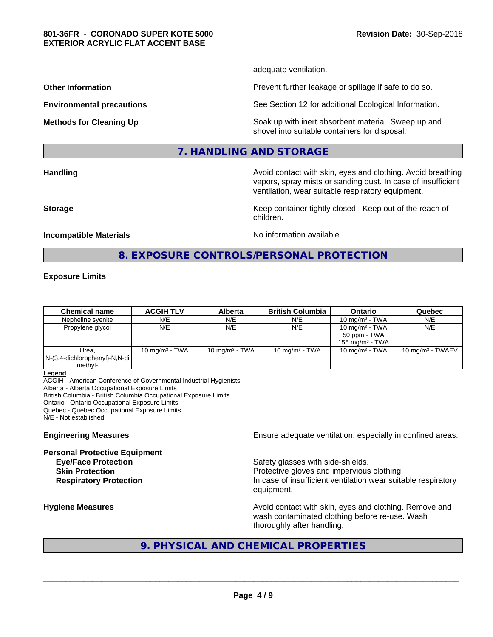adequate ventilation.

\_\_\_\_\_\_\_\_\_\_\_\_\_\_\_\_\_\_\_\_\_\_\_\_\_\_\_\_\_\_\_\_\_\_\_\_\_\_\_\_\_\_\_\_\_\_\_\_\_\_\_\_\_\_\_\_\_\_\_\_\_\_\_\_\_\_\_\_\_\_\_\_\_\_\_\_\_\_\_\_\_\_\_\_\_\_\_\_\_\_\_\_\_

**Other Information Discription Prevent further leakage or spillage if safe to do so.** 

**Environmental precautions** See Section 12 for additional Ecological Information.

**Methods for Cleaning Up Example 20 All 20 All 20 All 20 Soak** up with inert absorbent material. Sweep up and shovel into suitable containers for disposal.

vapors, spray mists or sanding dust. In case of insufficient

ventilation, wear suitable respiratory equipment.

### **7. HANDLING AND STORAGE**

**Handling Handling Avoid contact with skin, eyes and clothing. Avoid breathing H** 

**Storage Keep container tightly closed. Keep out of the reach of Keep** container tightly closed. Keep out of the reach of

**Incompatible Materials Incompatible Materials No information available** 

## **8. EXPOSURE CONTROLS/PERSONAL PROTECTION**

children.

### **Exposure Limits**

| <b>Chemical name</b>                                 | <b>ACGIH TLV</b>          | <b>Alberta</b>    | <b>British Columbia</b> | <b>Ontario</b>                                          | Quebec              |
|------------------------------------------------------|---------------------------|-------------------|-------------------------|---------------------------------------------------------|---------------------|
| Nepheline syenite                                    | N/E                       | N/E               | N/E                     | 10 mg/m $3$ - TWA                                       | N/E                 |
| Propylene glycol                                     | N/E                       | N/E               | N/E                     | 10 mg/m $3$ - TWA<br>50 ppm - TWA<br>155 mg/m $3$ - TWA | N/E                 |
| Urea.<br>$N-(3,4$ -dichlorophenyl)-N,N-di<br>methyl- | $10 \text{ mg/m}^3$ - TWA | 10 mg/m $3$ - TWA | 10 mg/m $3$ - TWA       | 10 mg/m $3$ - TWA                                       | 10 mg/m $3$ - TWAEV |

**Legend**

ACGIH - American Conference of Governmental Industrial Hygienists Alberta - Alberta Occupational Exposure Limits British Columbia - British Columbia Occupational Exposure Limits Ontario - Ontario Occupational Exposure Limits Quebec - Quebec Occupational Exposure Limits N/E - Not established

**Personal Protective Equipment**

**Engineering Measures Ensure adequate ventilation, especially in confined areas.** 

**Eye/Face Protection Safety glasses with side-shields. Skin Protection Protection Protective gloves and impervious clothing. Respiratory Protection In case of insufficient ventilation wear suitable respiratory** equipment.

**Hygiene Measures Avoid contact with skin, eyes and clothing. Remove and Avoid contact with skin, eyes and clothing. Remove and Avoid contact with skin, eyes and clothing. Remove and** wash contaminated clothing before re-use. Wash thoroughly after handling.

## **9. PHYSICAL AND CHEMICAL PROPERTIES**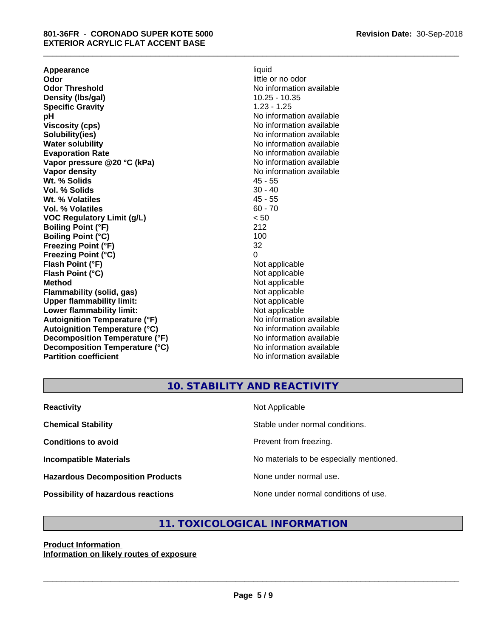**Appearance** liquid **and a liquid contract of the contract of the contract of the contract of the contract of the contract of the contract of the contract of the contract of the contract of the contract of the contract of Odor** little or no odor<br> **Odor Threshold Codor Integrated Codor Codor Integrated Codor Codor Codor Codor Codor Codor Codor Codor Codor Codor Codor Codor Codor Codor Co Density (Ibs/gal)** 10.25 - 10.35<br> **Specific Gravity** 1.23 - 1.25 **Specific Gravity pH pH**  $\blacksquare$ **Viscosity (cps)** No information available **Solubility(ies)**<br> **No** information available<br> **Water solubility**<br> **No** information available **Evaporation Rate No information available No information available Vapor pressure @20 °C (kPa)** No information available **Vapor density No information available No** information available **Wt. % Solids** 45 - 55 **Vol. % Solids** 30 - 40<br> **Wt. % Volatiles** 30 - 40 Wt. % Volatiles **Vol. % Volatiles** 60 - 70 **VOC Regulatory Limit (g/L)** < 50 **Boiling Point (°F)** 212 **Boiling Point (°C)** 100<br> **Preezing Point (°F)** 32 **Freezing Point (°F) Freezing Point (°C)** 0 **Flash Point (°F)** Not applicable **Flash Point (°C)** Not applicable **Method**<br> **Flammability (solid, gas)**<br> **Commability (solid, gas)**<br> **Not** applicable **Flammability (solid, gas)**<br> **Commability limit:**<br>
Upper flammability limit:<br>
Not applicable **Upper flammability limit:**<br> **Lower flammability limit:**<br>
Not applicable<br>
Not applicable **Lower flammability limit:**<br> **Autoignition Temperature (°F)** Not applicable Not applicable not a Not applicable **Autoignition Temperature (°F) Autoignition Temperature (°C)** No information available **Decomposition Temperature (°F)** No information available **Decomposition Temperature (°C)** No information available **Partition coefficient** No information available

# **No information available No information available**

\_\_\_\_\_\_\_\_\_\_\_\_\_\_\_\_\_\_\_\_\_\_\_\_\_\_\_\_\_\_\_\_\_\_\_\_\_\_\_\_\_\_\_\_\_\_\_\_\_\_\_\_\_\_\_\_\_\_\_\_\_\_\_\_\_\_\_\_\_\_\_\_\_\_\_\_\_\_\_\_\_\_\_\_\_\_\_\_\_\_\_\_\_

### **10. STABILITY AND REACTIVITY**

| <b>Reactivity</b>                       | Not Applicable                           |
|-----------------------------------------|------------------------------------------|
| <b>Chemical Stability</b>               | Stable under normal conditions.          |
| <b>Conditions to avoid</b>              | Prevent from freezing.                   |
| <b>Incompatible Materials</b>           | No materials to be especially mentioned. |
| <b>Hazardous Decomposition Products</b> | None under normal use.                   |
| Possibility of hazardous reactions      | None under normal conditions of use.     |

## **11. TOXICOLOGICAL INFORMATION**

### **Product Information Information on likely routes of exposure**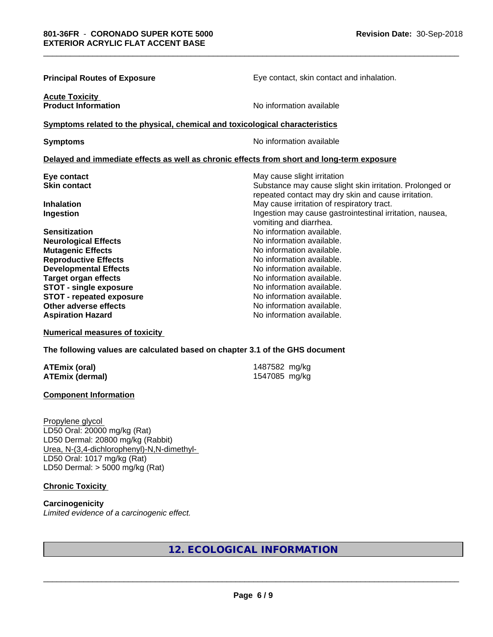| <b>Principal Routes of Exposure</b>                                          | Eye contact, skin contact and inhalation.                                                  |
|------------------------------------------------------------------------------|--------------------------------------------------------------------------------------------|
| <b>Acute Toxicity</b><br><b>Product Information</b>                          | No information available                                                                   |
| Symptoms related to the physical, chemical and toxicological characteristics |                                                                                            |
| <b>Symptoms</b>                                                              | No information available                                                                   |
|                                                                              | Delayed and immediate effects as well as chronic effects from short and long-term exposure |
| Eye contact                                                                  | May cause slight irritation                                                                |
| <b>Skin contact</b>                                                          | Substance may cause slight skin irritation. Prolonged or                                   |
|                                                                              | repeated contact may dry skin and cause irritation.                                        |
| <b>Inhalation</b>                                                            | May cause irritation of respiratory tract.                                                 |
| Ingestion                                                                    | Ingestion may cause gastrointestinal irritation, nausea,<br>vomiting and diarrhea.         |
| <b>Sensitization</b>                                                         | No information available.                                                                  |
| <b>Neurological Effects</b>                                                  | No information available.                                                                  |
| <b>Mutagenic Effects</b>                                                     | No information available.                                                                  |
| <b>Reproductive Effects</b>                                                  | No information available.                                                                  |
| <b>Developmental Effects</b>                                                 | No information available.                                                                  |
| <b>Target organ effects</b>                                                  | No information available.                                                                  |
| <b>STOT - single exposure</b>                                                | No information available.                                                                  |
| <b>STOT - repeated exposure</b>                                              | No information available.                                                                  |
| Other adverse effects                                                        | No information available.                                                                  |
| <b>Aspiration Hazard</b>                                                     | No information available.                                                                  |

**Numerical measures of toxicity**

**The following values are calculated based on chapter 3.1 of the GHS document**

**ATEmix (oral)** 1487582 mg/kg<br>**ATEmix (dermal)** 1547085 mg/kg **ATEmix (dermal)** 

**Component Information**

Propylene glycol LD50 Oral: 20000 mg/kg (Rat) LD50 Dermal: 20800 mg/kg (Rabbit) Urea, N-(3,4-dichlorophenyl)-N,N-dimethyl- LD50 Oral: 1017 mg/kg (Rat) LD50 Dermal: > 5000 mg/kg (Rat)

**Chronic Toxicity**

**Carcinogenicity** *Limited evidence of a carcinogenic effect.*

# **12. ECOLOGICAL INFORMATION**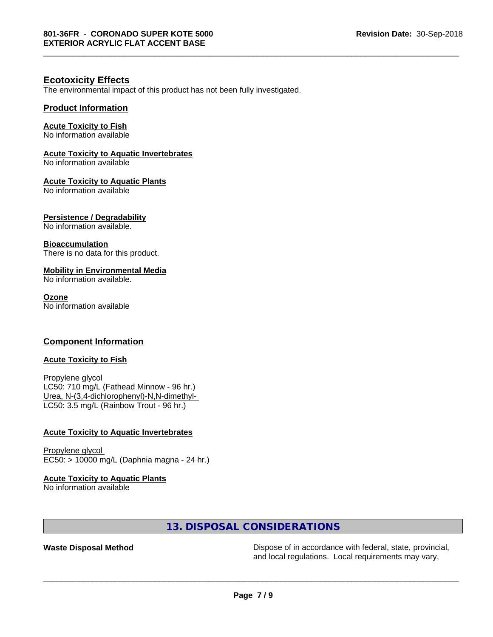\_\_\_\_\_\_\_\_\_\_\_\_\_\_\_\_\_\_\_\_\_\_\_\_\_\_\_\_\_\_\_\_\_\_\_\_\_\_\_\_\_\_\_\_\_\_\_\_\_\_\_\_\_\_\_\_\_\_\_\_\_\_\_\_\_\_\_\_\_\_\_\_\_\_\_\_\_\_\_\_\_\_\_\_\_\_\_\_\_\_\_\_\_

### **Ecotoxicity Effects**

The environmental impact of this product has not been fully investigated.

### **Product Information**

### **Acute Toxicity to Fish**

No information available

### **Acute Toxicity to Aquatic Invertebrates**

No information available

### **Acute Toxicity to Aquatic Plants**

No information available

### **Persistence / Degradability**

No information available.

### **Bioaccumulation**

There is no data for this product.

### **Mobility in Environmental Media**

No information available.

### **Ozone**

No information available

### **Component Information**

### **Acute Toxicity to Fish**

Propylene glycol LC50: 710 mg/L (Fathead Minnow - 96 hr.) Urea, N-(3,4-dichlorophenyl)-N,N-dimethyl- LC50: 3.5 mg/L (Rainbow Trout - 96 hr.)

### **Acute Toxicity to Aquatic Invertebrates**

Propylene glycol EC50: > 10000 mg/L (Daphnia magna - 24 hr.)

### **Acute Toxicity to Aquatic Plants**

No information available

### **13. DISPOSAL CONSIDERATIONS**

**Waste Disposal Method** Dispose of in accordance with federal, state, provincial, and local regulations. Local requirements may vary,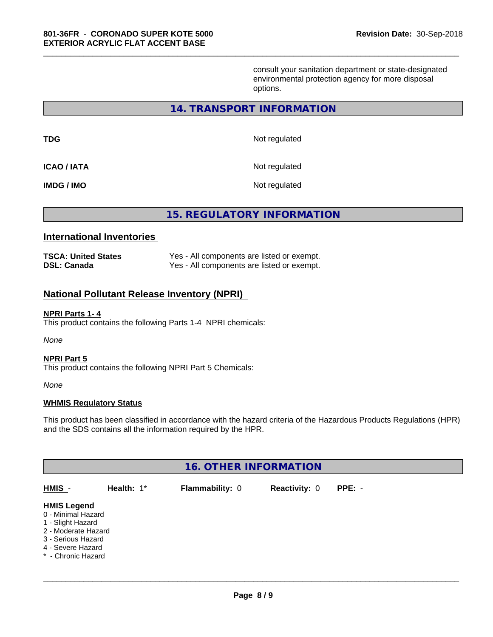consult your sanitation department or state-designated environmental protection agency for more disposal options.

### **14. TRANSPORT INFORMATION**

\_\_\_\_\_\_\_\_\_\_\_\_\_\_\_\_\_\_\_\_\_\_\_\_\_\_\_\_\_\_\_\_\_\_\_\_\_\_\_\_\_\_\_\_\_\_\_\_\_\_\_\_\_\_\_\_\_\_\_\_\_\_\_\_\_\_\_\_\_\_\_\_\_\_\_\_\_\_\_\_\_\_\_\_\_\_\_\_\_\_\_\_\_

| TDG                | Not regulated |
|--------------------|---------------|
| <b>ICAO / IATA</b> | Not regulated |
| IMDG / IMO         | Not regulated |

**15. REGULATORY INFORMATION**

### **International Inventories**

| <b>TSCA: United States</b> | Yes - All components are listed or exempt. |
|----------------------------|--------------------------------------------|
| <b>DSL: Canada</b>         | Yes - All components are listed or exempt. |

### **National Pollutant Release Inventory (NPRI)**

### **NPRI Parts 1- 4**

This product contains the following Parts 1-4 NPRI chemicals:

*None*

### **NPRI Part 5**

This product contains the following NPRI Part 5 Chemicals:

*None*

### **WHMIS Regulatory Status**

This product has been classified in accordance with the hazard criteria of the Hazardous Products Regulations (HPR) and the SDS contains all the information required by the HPR.

| <b>16. OTHER INFORMATION</b>                                                                                                                          |               |                        |                      |          |  |
|-------------------------------------------------------------------------------------------------------------------------------------------------------|---------------|------------------------|----------------------|----------|--|
| HMIS -                                                                                                                                                | Health: $1^*$ | <b>Flammability: 0</b> | <b>Reactivity: 0</b> | $PPE: -$ |  |
| <b>HMIS Legend</b><br>0 - Minimal Hazard<br>1 - Slight Hazard<br>2 - Moderate Hazard<br>3 - Serious Hazard<br>4 - Severe Hazard<br>* - Chronic Hazard |               |                        |                      |          |  |